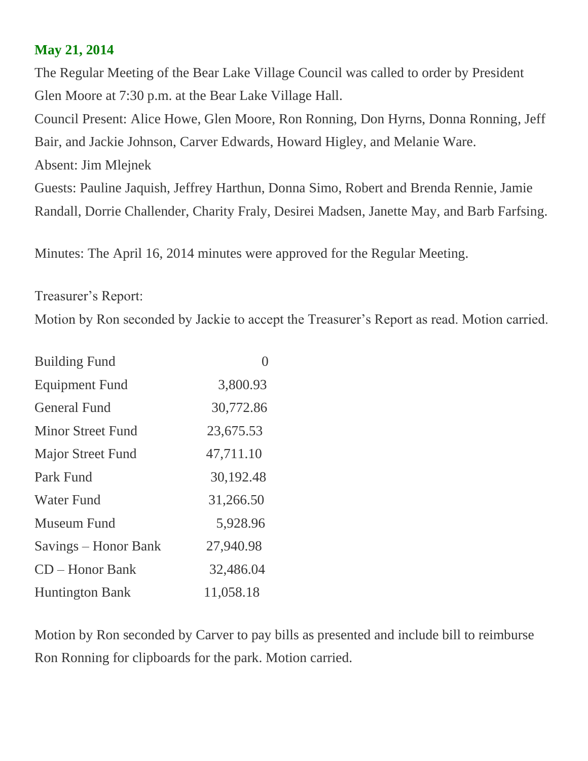## **May 21, 2014**

The Regular Meeting of the Bear Lake Village Council was called to order by President Glen Moore at 7:30 p.m. at the Bear Lake Village Hall. Council Present: Alice Howe, Glen Moore, Ron Ronning, Don Hyrns, Donna Ronning, Jeff Bair, and Jackie Johnson, Carver Edwards, Howard Higley, and Melanie Ware.

Absent: Jim Mlejnek

Guests: Pauline Jaquish, Jeffrey Harthun, Donna Simo, Robert and Brenda Rennie, Jamie Randall, Dorrie Challender, Charity Fraly, Desirei Madsen, Janette May, and Barb Farfsing.

Minutes: The April 16, 2014 minutes were approved for the Regular Meeting.

Treasurer's Report:

Motion by Ron seconded by Jackie to accept the Treasurer's Report as read. Motion carried.

| <b>Building Fund</b>     |           |
|--------------------------|-----------|
| <b>Equipment Fund</b>    | 3,800.93  |
| <b>General Fund</b>      | 30,772.86 |
| Minor Street Fund        | 23,675.53 |
| <b>Major Street Fund</b> | 47,711.10 |
| Park Fund                | 30,192.48 |
| <b>Water Fund</b>        | 31,266.50 |
| Museum Fund              | 5,928.96  |
| Savings – Honor Bank     | 27,940.98 |
| $CD - Honor Bank$        | 32,486.04 |
| <b>Huntington Bank</b>   | 11,058.18 |

Motion by Ron seconded by Carver to pay bills as presented and include bill to reimburse Ron Ronning for clipboards for the park. Motion carried.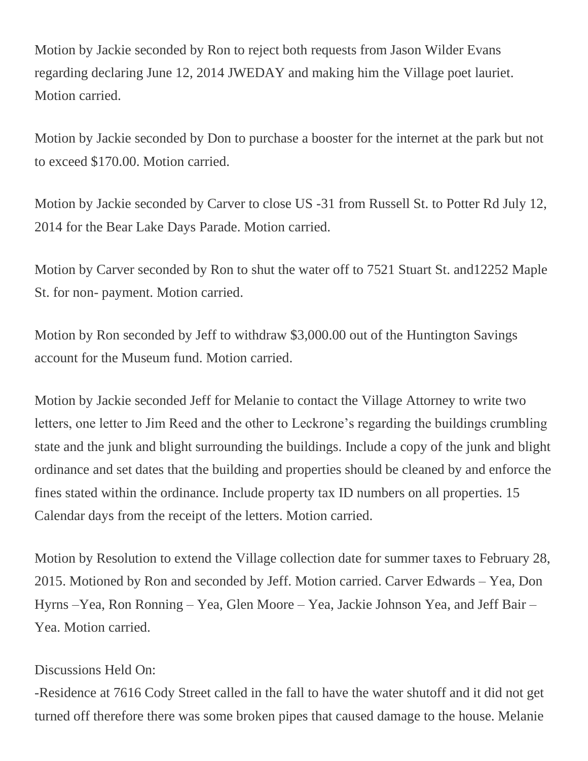Motion by Jackie seconded by Ron to reject both requests from Jason Wilder Evans regarding declaring June 12, 2014 JWEDAY and making him the Village poet lauriet. Motion carried.

Motion by Jackie seconded by Don to purchase a booster for the internet at the park but not to exceed \$170.00. Motion carried.

Motion by Jackie seconded by Carver to close US -31 from Russell St. to Potter Rd July 12, 2014 for the Bear Lake Days Parade. Motion carried.

Motion by Carver seconded by Ron to shut the water off to 7521 Stuart St. and12252 Maple St. for non- payment. Motion carried.

Motion by Ron seconded by Jeff to withdraw \$3,000.00 out of the Huntington Savings account for the Museum fund. Motion carried.

Motion by Jackie seconded Jeff for Melanie to contact the Village Attorney to write two letters, one letter to Jim Reed and the other to Leckrone's regarding the buildings crumbling state and the junk and blight surrounding the buildings. Include a copy of the junk and blight ordinance and set dates that the building and properties should be cleaned by and enforce the fines stated within the ordinance. Include property tax ID numbers on all properties. 15 Calendar days from the receipt of the letters. Motion carried.

Motion by Resolution to extend the Village collection date for summer taxes to February 28, 2015. Motioned by Ron and seconded by Jeff. Motion carried. Carver Edwards – Yea, Don Hyrns –Yea, Ron Ronning – Yea, Glen Moore – Yea, Jackie Johnson Yea, and Jeff Bair – Yea. Motion carried.

## Discussions Held On:

-Residence at 7616 Cody Street called in the fall to have the water shutoff and it did not get turned off therefore there was some broken pipes that caused damage to the house. Melanie